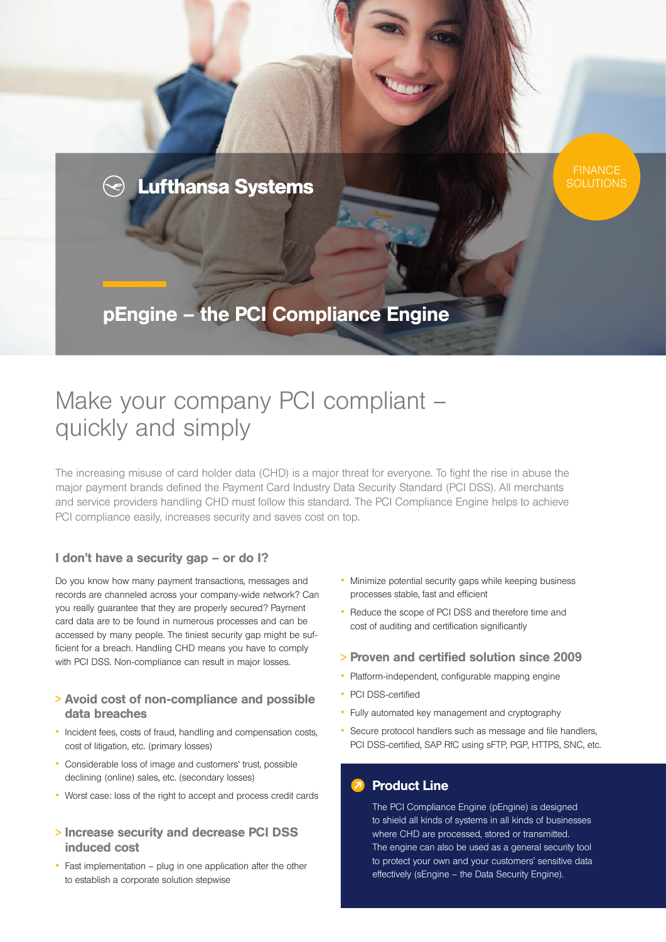

# Make your company PCI compliant – quickly and simply

The increasing misuse of card holder data (CHD) is a major threat for everyone. To fight the rise in abuse the major payment brands defined the Payment Card Industry Data Security Standard (PCI DSS). All merchants and service providers handling CHD must follow this standard. The PCI Compliance Engine helps to achieve PCI compliance easily, increases security and saves cost on top.

## I don't have a security gap – or do I?

Do you know how many payment transactions, messages and records are channeled across your company-wide network? Can you really guarantee that they are properly secured? Payment card data are to be found in numerous processes and can be accessed by many people. The tiniest security gap might be sufficient for a breach. Handling CHD means you have to comply with PCI DSS. Non-compliance can result in major losses.

## <sup>&</sup>gt; Avoid cost of non-compliance and possible data breaches

- Incident fees, costs of fraud, handling and compensation costs, cost of litigation, etc. (primary losses)
- Considerable loss of image and customers' trust, possible declining (online) sales, etc. (secondary losses)
- Worst case: loss of the right to accept and process credit cards
- <sup>&</sup>gt; Increase security and decrease PCI DSS induced cost
- Fast implementation plug in one application after the other to establish a corporate solution stepwise
- Minimize potential security gaps while keeping business processes stable, fast and efficient
- Reduce the scope of PCI DSS and therefore time and cost of auditing and certification significantly
- <sup>&</sup>gt; Proven and certified solution since 2009
- Platform-independent, configurable mapping engine
- PCI DSS-certified
- Fully automated key management and cryptography
- Secure protocol handlers such as message and file handlers, PCI DSS-certified, SAP RfC using sFTP, PGP, HTTPS, SNC, etc.

# **Product Line**

The PCI Compliance Engine (pEngine) is designed to shield all kinds of systems in all kinds of businesses where CHD are processed, stored or transmitted. The engine can also be used as a general security tool to protect your own and your customers' sensitive data effectively (sEngine – the Data Security Engine).